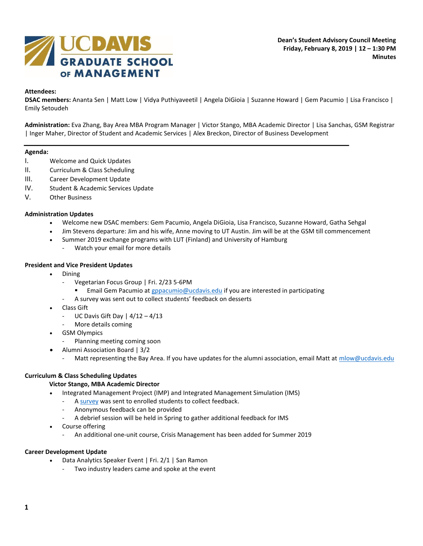

## **Attendees:**

**DSAC members:** Ananta Sen | Matt Low | Vidya Puthiyaveetil | Angela DiGioia | Suzanne Howard | Gem Pacumio | Lisa Francisco | Emily Setoudeh

**Administration:** Eva Zhang, Bay Area MBA Program Manager | Victor Stango, MBA Academic Director | Lisa Sanchas, GSM Registrar | Inger Maher, Director of Student and Academic Services | Alex Breckon, Director of Business Development

#### **Agenda:**

- I. Welcome and Quick Updates
- II. Curriculum & Class Scheduling
- III. Career Development Update
- IV. Student & Academic Services Update
- V. Other Business

### **Administration Updates**

- Welcome new DSAC members: Gem Pacumio, Angela DiGioia, Lisa Francisco, Suzanne Howard, Gatha Sehgal
- Jim Stevens departure: Jim and his wife, Anne moving to UT Austin. Jim will be at the GSM till commencement
- Summer 2019 exchange programs with LUT (Finland) and University of Hamburg
	- Watch your email for more details

### **President and Vice President Updates**

- Dining
	- Vegetarian Focus Group | Fri. 2/23 5-6PM
		- Email Gem Pacumio a[t gppacumio@ucdavis.edu](mailto:gppacumio@ucdavis.edu) if you are interested in participating
	- A survey was sent out to collect students' feedback on desserts
- Class Gift
	- UC Davis Gift Day  $|4/12 4/13|$
	- More details coming
- GSM Olympics
	- Planning meeting coming soon
- Alumni Association Board | 3/2
	- Matt representing the Bay Area. If you have updates for the alumni association, email Matt a[t mlow@ucdavis.edu](mailto:mlow@ucdavis.edu)

### **Curriculum & Class Scheduling Updates**

### **Victor Stango, MBA Academic Director**

- Integrated Management Project (IMP) and Integrated Management Simulation (IMS)
	- A [survey](https://docs.google.com/forms/d/1j1hPZptpDCEzihJG9jSJjzEKTG_E1YE8Q348w8ez_44/viewform?fbclid=IwAR2IDFRO1ejIiA3ZFrB-W-I1RN0WAcbbiFayhsXiHgKVSpxnDbHxAu--N2M&edit_requested=true) was sent to enrolled students to collect feedback.
	- Anonymous feedback can be provided
	- A debrief session will be held in Spring to gather additional feedback for IMS
- Course offering
	- An additional one-unit course, Crisis Management has been added for Summer 2019

### **Career Development Update**

- Data Analytics Speaker Event | Fri. 2/1 | San Ramon
	- Two industry leaders came and spoke at the event